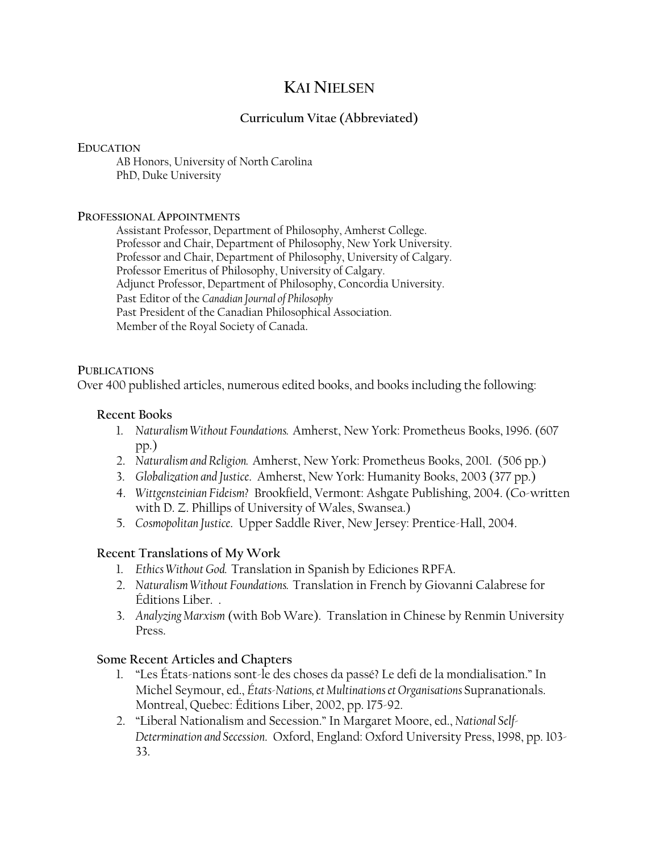# **KAI NIELSEN**

# **Curriculum Vitae (Abbreviated)**

### **EDUCATION**

AB Honors, University of North Carolina PhD, Duke University

### **PROFESSIONAL APPOINTMENTS**

 Assistant Professor, Department of Philosophy, Amherst College. Professor and Chair, Department of Philosophy, New York University. Professor and Chair, Department of Philosophy, University of Calgary. Professor Emeritus of Philosophy, University of Calgary. Adjunct Professor, Department of Philosophy, Concordia University. Past Editor of the *Canadian Journal of Philosophy* Past President of the Canadian Philosophical Association. Member of the Royal Society of Canada.

#### **PUBLICATIONS**

Over 400 published articles, numerous edited books, and books including the following:

# **Recent Books**

- 1. *Naturalism Without Foundations.* Amherst, New York: Prometheus Books, 1996. (607 pp.)
- 2. *Naturalism and Religion.* Amherst, New York: Prometheus Books, 2001. (506 pp.)
- 3. *Globalization and Justice*. Amherst, New York: Humanity Books, 2003 (377 pp.)
- 4. *Wittgensteinian Fideism?* Brookfield, Vermont: Ashgate Publishing, 2004. (Co-written with D. Z. Phillips of University of Wales, Swansea.)
- 5. *Cosmopolitan Justice*. Upper Saddle River, New Jersey: Prentice-Hall, 2004.

# **Recent Translations of My Work**

- 1. *Ethics Without God.* Translation in Spanish by Ediciones RPFA.
- 2. *Naturalism Without Foundations.* Translation in French by Giovanni Calabrese for Éditions Liber. .
- 3. *Analyzing Marxism* (with Bob Ware). Translation in Chinese by Renmin University Press.

# **Some Recent Articles and Chapters**

- 1. "Les États-nations sont-le des choses da passé? Le defi de la mondialisation." In Michel Seymour, ed., *États-Nations, et Multinations et Organisations* Supranationals. Montreal, Quebec: Éditions Liber, 2002, pp. 175-92.
- 2. "Liberal Nationalism and Secession." In Margaret Moore, ed., *National Self-Determination and Secession*. Oxford, England: Oxford University Press, 1998, pp. 103- 33.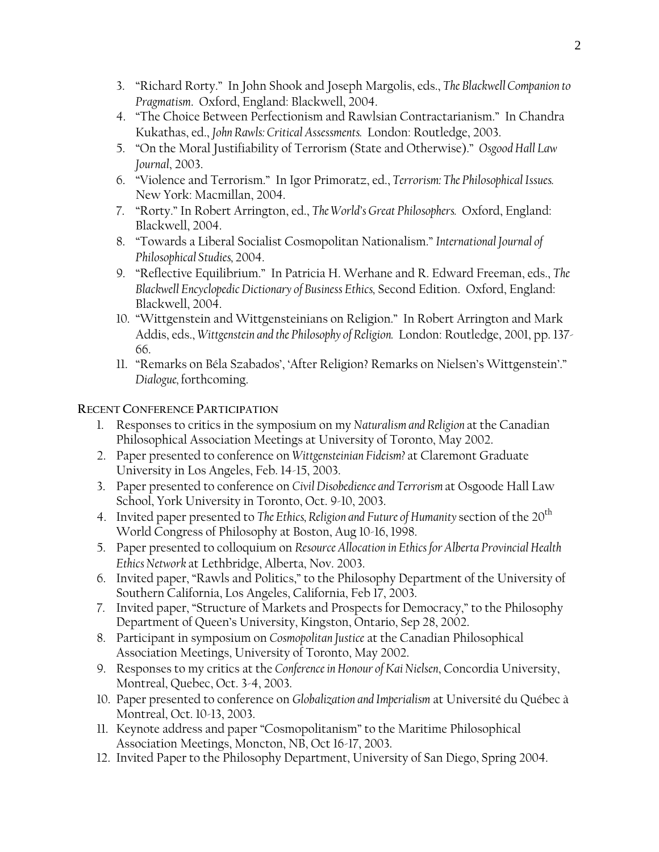- 3. "Richard Rorty." In John Shook and Joseph Margolis, eds., *The Blackwell Companion to Pragmatism*. Oxford, England: Blackwell, 2004.
- 4. "The Choice Between Perfectionism and Rawlsian Contractarianism." In Chandra Kukathas, ed., *John Rawls: Critical Assessments.* London: Routledge, 2003.
- 5. "On the Moral Justifiability of Terrorism (State and Otherwise)." *Osgood Hall Law Journal*, 2003.
- 6. "Violence and Terrorism." In Igor Primoratz, ed., *Terrorism: The Philosophical Issues.* New York: Macmillan, 2004.
- 7. "Rorty." In Robert Arrington, ed., *The World's Great Philosophers.* Oxford, England: Blackwell, 2004.
- 8. "Towards a Liberal Socialist Cosmopolitan Nationalism." *International Journal of Philosophical Studies,* 2004.
- 9. "Reflective Equilibrium." In Patricia H. Werhane and R. Edward Freeman, eds., *The Blackwell Encyclopedic Dictionary of Business Ethics,* Second Edition. Oxford, England: Blackwell, 2004.
- 10. "Wittgenstein and Wittgensteinians on Religion." In Robert Arrington and Mark Addis, eds., *Wittgenstein and the Philosophy of Religion.* London: Routledge, 2001, pp. 137- 66.
- 11. "Remarks on Béla Szabados', 'After Religion? Remarks on Nielsen's Wittgenstein'." *Dialogue,* forthcoming.

# **RECENT CONFERENCE PARTICIPATION**

- 1. Responses to critics in the symposium on my *Naturalism and Religion* at the Canadian Philosophical Association Meetings at University of Toronto, May 2002.
- 2. Paper presented to conference on *Wittgensteinian Fideism?* at Claremont Graduate University in Los Angeles, Feb. 14-15, 2003.
- 3. Paper presented to conference on *Civil Disobedience and Terrorism* at Osgoode Hall Law School, York University in Toronto, Oct. 9-10, 2003.
- 4. Invited paper presented to *The Ethics, Religion and Future of Humanity* section of the 20<sup>th</sup> World Congress of Philosophy at Boston, Aug 10-16, 1998.
- 5. Paper presented to colloquium on *Resource Allocation in Ethics for Alberta Provincial Health Ethics Network* at Lethbridge, Alberta, Nov. 2003.
- 6. Invited paper, "Rawls and Politics," to the Philosophy Department of the University of Southern California, Los Angeles, California, Feb 17, 2003.
- 7. Invited paper, "Structure of Markets and Prospects for Democracy," to the Philosophy Department of Queen's University, Kingston, Ontario, Sep 28, 2002.
- 8. Participant in symposium on *Cosmopolitan Justice* at the Canadian Philosophical Association Meetings, University of Toronto, May 2002.
- 9. Responses to my critics at the *Conference in Honour of Kai Nielsen*, Concordia University, Montreal, Quebec, Oct. 3-4, 2003.
- 10. Paper presented to conference on *Globalization and Imperialism* at Université du Québec à Montreal, Oct. 10-13, 2003.
- 11. Keynote address and paper "Cosmopolitanism" to the Maritime Philosophical Association Meetings, Moncton, NB, Oct 16-17, 2003.
- 12. Invited Paper to the Philosophy Department, University of San Diego, Spring 2004.